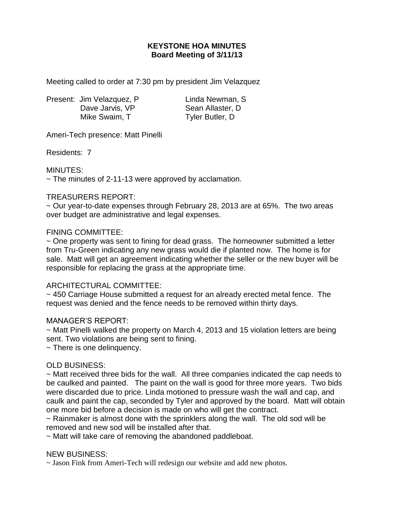# **KEYSTONE HOA MINUTES Board Meeting of 3/11/13**

Meeting called to order at 7:30 pm by president Jim Velazquez

Present: Jim Velazquez, P Linda Newman, S Dave Jarvis, VP Sean Allaster, D Mike Swaim, T Tyler Butler, D

Ameri-Tech presence: Matt Pinelli

Residents: 7

MINUTES:

 $\sim$  The minutes of 2-11-13 were approved by acclamation.

#### TREASURERS REPORT:

~ Our year-to-date expenses through February 28, 2013 are at 65%. The two areas over budget are administrative and legal expenses.

#### FINING COMMITTEE:

~ One property was sent to fining for dead grass. The homeowner submitted a letter from Tru-Green indicating any new grass would die if planted now. The home is for sale. Matt will get an agreement indicating whether the seller or the new buyer will be responsible for replacing the grass at the appropriate time.

## ARCHITECTURAL COMMITTEE:

~ 450 Carriage House submitted a request for an already erected metal fence. The request was denied and the fence needs to be removed within thirty days.

## MANAGER'S REPORT:

~ Matt Pinelli walked the property on March 4, 2013 and 15 violation letters are being sent. Two violations are being sent to fining.

~ There is one delinquency.

## OLD BUSINESS:

~ Matt received three bids for the wall. All three companies indicated the cap needs to be caulked and painted. The paint on the wall is good for three more years. Two bids were discarded due to price. Linda motioned to pressure wash the wall and cap, and caulk and paint the cap, seconded by Tyler and approved by the board. Matt will obtain one more bid before a decision is made on who will get the contract.

 $\sim$  Rainmaker is almost done with the sprinklers along the wall. The old sod will be removed and new sod will be installed after that.

~ Matt will take care of removing the abandoned paddleboat.

#### NEW BUSINESS:

 $\sim$  Jason Fink from Ameri-Tech will redesign our website and add new photos.